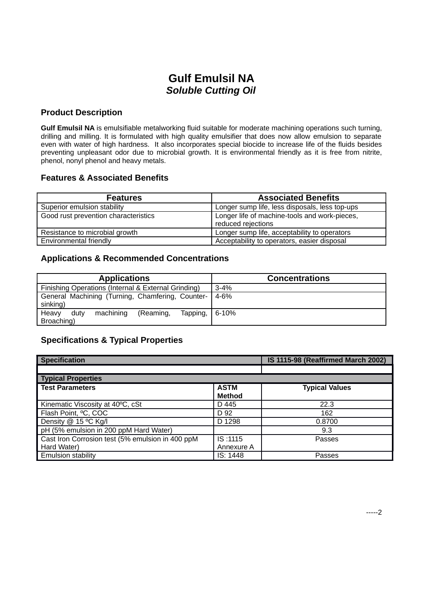# **Gulf Emulsil NA** *Soluble Cutting Oil*

#### **Product Description**

**Gulf Emulsil NA** is emulsifiable metalworking fluid suitable for moderate machining operations such turning, drilling and milling. It is formulated with high quality emulsifier that does now allow emulsion to separate even with water of high hardness. It also incorporates special biocide to increase life of the fluids besides preventing unpleasant odor due to microbial growth. It is environmental friendly as it is free from nitrite, phenol, nonyl phenol and heavy metals.

#### **Features & Associated Benefits**

| <b>Features</b>                      | <b>Associated Benefits</b>                                          |
|--------------------------------------|---------------------------------------------------------------------|
| Superior emulsion stability          | Longer sump life, less disposals, less top-ups                      |
| Good rust prevention characteristics | Longer life of machine-tools and work-pieces,<br>reduced rejections |
| Resistance to microbial growth       | Longer sump life, acceptability to operators                        |
| Environmental friendly               | Acceptability to operators, easier disposal                         |

### **Applications & Recommended Concentrations**

| <b>Applications</b>                                 | <b>Concentrations</b> |  |
|-----------------------------------------------------|-----------------------|--|
| Finishing Operations (Internal & External Grinding) | $3 - 4%$              |  |
| General Machining (Turning, Chamfering, Counter-    | $4 - 6%$              |  |
| sinking)                                            |                       |  |
| machining<br>Heavy<br>(Reaming,<br>dutv<br>Tapping, | 6-10%                 |  |
| Broaching)                                          |                       |  |

### **Specifications & Typical Properties**

| <b>Specification</b>                             |                              | IS 1115-98 (Reaffirmed March 2002) |  |  |  |
|--------------------------------------------------|------------------------------|------------------------------------|--|--|--|
|                                                  |                              |                                    |  |  |  |
| Typical Properties                               |                              |                                    |  |  |  |
| <b>Test Parameters</b>                           | <b>ASTM</b><br><b>Method</b> | <b>Typical Values</b>              |  |  |  |
| Kinematic Viscosity at 40°C, cSt                 | D 445                        | 22.3                               |  |  |  |
| Flash Point, <sup>o</sup> C, COC                 | D 92                         | 162                                |  |  |  |
| Density @ 15 °C Kg/I                             | D 1298                       | 0.8700                             |  |  |  |
| pH (5% emulsion in 200 ppM Hard Water)           |                              | 9.3                                |  |  |  |
| Cast Iron Corrosion test (5% emulsion in 400 ppM | IS: 1115                     | Passes                             |  |  |  |
| Hard Water)                                      | Annexure A                   |                                    |  |  |  |
| <b>Emulsion stability</b>                        | IS: 1448                     | Passes                             |  |  |  |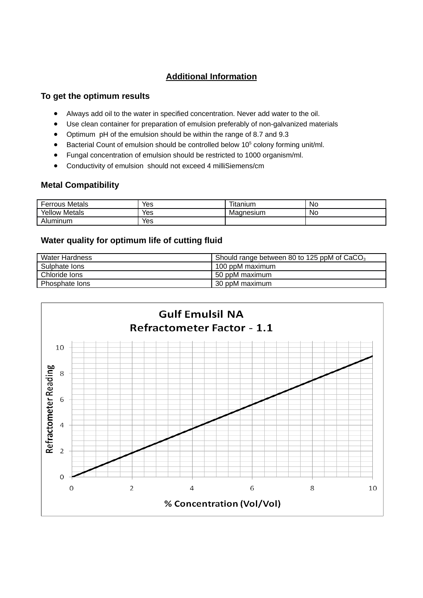

# **Additional Information**

### **To get the optimum results**

- Always add oil to the water in specified concentration. Never add water to the oil.
- Use clean container for preparation of emulsion preferably of non-galvanized materials
- Optimum pH of the emulsion should be within the range of 8.7 and 9.3
- $\bullet$  Bacterial Count of emulsion should be controlled below 10<sup>5</sup> colony forming unit/ml.
- Fungal concentration of emulsion should be restricted to 1000 organism/ml.
- Conductivity of emulsion should not exceed 4 milliSiemens/cm

## **Metal Compatibility**

| <b>Ferrous Metals</b> | Yes | --<br>l itanıum | .No |
|-----------------------|-----|-----------------|-----|
| Yellow<br>Metals      | Yes | Magnesium       | N0  |
| Aluminum              | Yes |                 |     |

# **Water quality for optimum life of cutting fluid**

| Water Hardness | Should range between 80 to 125 ppM of $CaCO3$ |
|----------------|-----------------------------------------------|
| Sulphate lons  | 100 ppM maximum                               |
| Chloride lons  | 50 ppM maximum                                |
| Phosphate lons | 30 ppM maximum                                |



Properties mentioned above are typical only and minor variations, which do not affect the product performances, are to be expected in normal manufacturing. The above information is based on past history of the grade only and must not be construed as a guarantee of performance. Follow equipment manufacturer's recommendations for performance level and viscosity grade. The Material Safety Data Sheet for this product is available from your nearest Gulf Distributor.

#### **Gulf Oil International**

The information contained herein is believed to be correct at time of publication. No warranty expressed or implied is given concerning the accuracy of the information or the suitability of the products. Gulf Oil International reserves the right to modify and change its products and specifications without prior notice. www.gulfoilltd.com